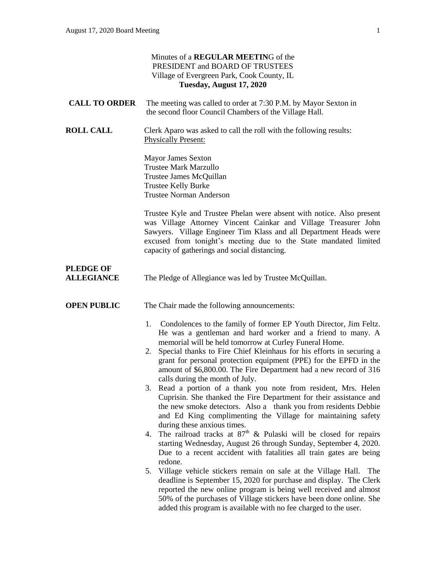|                                       | Minutes of a REGULAR MEETING of the<br>PRESIDENT and BOARD OF TRUSTEES<br>Village of Evergreen Park, Cook County, IL<br>Tuesday, August 17, 2020                                                                                                                                                                                                                                                                                                           |
|---------------------------------------|------------------------------------------------------------------------------------------------------------------------------------------------------------------------------------------------------------------------------------------------------------------------------------------------------------------------------------------------------------------------------------------------------------------------------------------------------------|
| <b>CALL TO ORDER</b>                  | The meeting was called to order at 7:30 P.M. by Mayor Sexton in<br>the second floor Council Chambers of the Village Hall.                                                                                                                                                                                                                                                                                                                                  |
| <b>ROLL CALL</b>                      | Clerk Aparo was asked to call the roll with the following results:<br><b>Physically Present:</b>                                                                                                                                                                                                                                                                                                                                                           |
|                                       | <b>Mayor James Sexton</b><br><b>Trustee Mark Marzullo</b><br>Trustee James McQuillan<br>Trustee Kelly Burke<br><b>Trustee Norman Anderson</b>                                                                                                                                                                                                                                                                                                              |
|                                       | Trustee Kyle and Trustee Phelan were absent with notice. Also present<br>was Village Attorney Vincent Cainkar and Village Treasurer John<br>Sawyers. Village Engineer Tim Klass and all Department Heads were<br>excused from tonight's meeting due to the State mandated limited<br>capacity of gatherings and social distancing.                                                                                                                         |
| <b>PLEDGE OF</b><br><b>ALLEGIANCE</b> | The Pledge of Allegiance was led by Trustee McQuillan.                                                                                                                                                                                                                                                                                                                                                                                                     |
| <b>OPEN PUBLIC</b>                    | The Chair made the following announcements:                                                                                                                                                                                                                                                                                                                                                                                                                |
|                                       | Condolences to the family of former EP Youth Director, Jim Feltz.<br>1.<br>He was a gentleman and hard worker and a friend to many. A<br>memorial will be held tomorrow at Curley Funeral Home.<br>Special thanks to Fire Chief Kleinhaus for his efforts in securing a<br>2.<br>grant for personal protection equipment (PPE) for the EPFD in the<br>amount of \$6,800.00. The Fire Department had a new record of 316<br>calls during the month of July. |
|                                       | 3. Read a portion of a thank you note from resident, Mrs. Helen<br>Cuprisin. She thanked the Fire Department for their assistance and<br>the new smoke detectors. Also a thank you from residents Debbie<br>and Ed King complimenting the Village for maintaining safety<br>during these anxious times.                                                                                                                                                    |
|                                       | 4. The railroad tracks at $87th$ & Pulaski will be closed for repairs<br>starting Wednesday, August 26 through Sunday, September 4, 2020.<br>Due to a recent accident with fatalities all train gates are being<br>redone.                                                                                                                                                                                                                                 |
|                                       | Village vehicle stickers remain on sale at the Village Hall. The<br>5.<br>deadline is September 15, 2020 for purchase and display. The Clerk<br>reported the new online program is being well received and almost<br>50% of the purchases of Village stickers have been done online. She<br>added this program is available with no fee charged to the user.                                                                                               |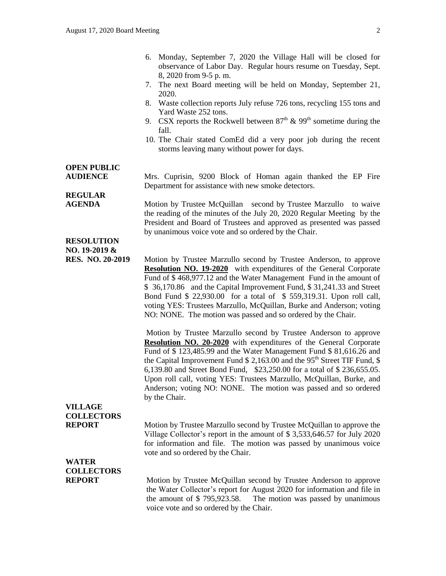| 6. Monday, September 7, 2020 the Village Hall will be closed for |
|------------------------------------------------------------------|
| observance of Labor Day. Regular hours resume on Tuesday, Sept.  |
| 8, 2020 from 9-5 p.m.                                            |

- 7. The next Board meeting will be held on Monday, September 21, 2020.
- 8. Waste collection reports July refuse 726 tons, recycling 155 tons and Yard Waste 252 tons.
- 9. CSX reports the Rockwell between  $87<sup>th</sup>$  & 99<sup>th</sup> sometime during the fall.
- 10. The Chair stated ComEd did a very poor job during the recent storms leaving many without power for days.

## **OPEN PUBLIC**

**REGULAR** 

**AUDIENCE** Mrs. Cuprisin, 9200 Block of Homan again thanked the EP Fire Department for assistance with new smoke detectors.

**AGENDA** Motion by Trustee McQuillan second by Trustee Marzullo to waive the reading of the minutes of the July 20, 2020 Regular Meeting by the President and Board of Trustees and approved as presented was passed by unanimous voice vote and so ordered by the Chair.

#### **RESOLUTION NO. 19-2019 &**

**RES. NO. 20-2019** Motion by Trustee Marzullo second by Trustee Anderson, to approve **Resolution NO. 19-2020** with expenditures of the General Corporate Fund of \$ 468,977.12 and the Water Management Fund in the amount of \$ 36,170.86 and the Capital Improvement Fund, \$ 31,241.33 and Street Bond Fund \$ 22,930.00 for a total of \$ 559,319.31. Upon roll call, voting YES: Trustees Marzullo, McQuillan, Burke and Anderson; voting NO: NONE. The motion was passed and so ordered by the Chair.

> Motion by Trustee Marzullo second by Trustee Anderson to approve **Resolution NO. 20-2020** with expenditures of the General Corporate Fund of \$ 123,485.99 and the Water Management Fund \$ 81,616.26 and the Capital Improvement Fund  $$2,163.00$  and the 95<sup>th</sup> Street TIF Fund,  $$$ 6,139.80 and Street Bond Fund, \$23,250.00 for a total of \$ 236,655.05. Upon roll call, voting YES: Trustees Marzullo, McQuillan, Burke, and Anderson; voting NO: NONE. The motion was passed and so ordered by the Chair.

# **VILLAGE COLLECTORS**

**REPORT** Motion by Trustee Marzullo second by Trustee McQuillan to approve the Village Collector's report in the amount of \$ 3,533,646.57 for July 2020 for information and file. The motion was passed by unanimous voice vote and so ordered by the Chair.

## **WATER COLLECTORS**

**REPORT** Motion by Trustee McQuillan second by Trustee Anderson to approve the Water Collector's report for August 2020 for information and file in the amount of \$ 795,923.58. The motion was passed by unanimous voice vote and so ordered by the Chair.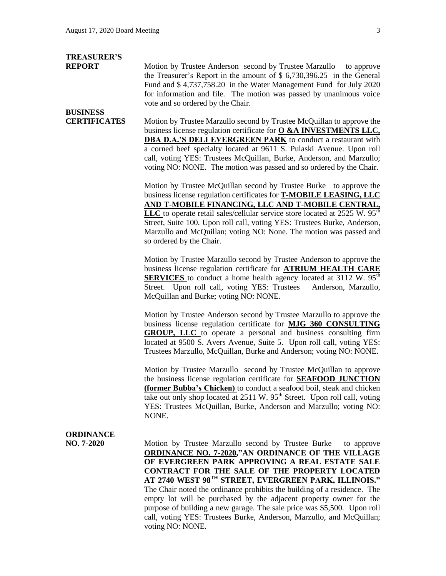# **TREASURER'S**

**BUSINESS** 

**REPORT** Motion by Trustee Anderson second by Trustee Marzullo to approve the Treasurer's Report in the amount of \$ 6,730,396.25 in the General Fund and \$ 4,737,758.20 in the Water Management Fund for July 2020 for information and file. The motion was passed by unanimous voice vote and so ordered by the Chair.

### **CERTIFICATES** Motion by Trustee Marzullo second by Trustee McQuillan to approve the business license regulation certificate for **O &A INVESTMENTS LLC, DBA D.A.'S DELI EVERGREEN PARK** to conduct a restaurant with a corned beef specialty located at 9611 S. Pulaski Avenue. Upon roll call, voting YES: Trustees McQuillan, Burke, Anderson, and Marzullo; voting NO: NONE. The motion was passed and so ordered by the Chair.

Motion by Trustee McQuillan second by Trustee Burke to approve the business license regulation certificates for **T-MOBILE LEASING, LLC AND T-MOBILE FINANCING, LLC AND T-MOBILE CENTRAL, LLC** to operate retail sales/cellular service store located at 2525 W. 95<sup>th</sup> Street, Suite 100. Upon roll call, voting YES: Trustees Burke, Anderson, Marzullo and McQuillan; voting NO: None. The motion was passed and so ordered by the Chair.

Motion by Trustee Marzullo second by Trustee Anderson to approve the business license regulation certificate for **ATRIUM HEALTH CARE SERVICES** to conduct a home health agency located at  $3112$  W.  $95<sup>th</sup>$ Street. Upon roll call, voting YES: Trustees Anderson, Marzullo, McQuillan and Burke; voting NO: NONE.

Motion by Trustee Anderson second by Trustee Marzullo to approve the business license regulation certificate for **MJG 360 CONSULTING GROUP, LLC** to operate a personal and business consulting firm located at 9500 S. Avers Avenue, Suite 5. Upon roll call, voting YES: Trustees Marzullo, McQuillan, Burke and Anderson; voting NO: NONE.

Motion by Trustee Marzullo second by Trustee McQuillan to approve the business license regulation certificate for **SEAFOOD JUNCTION (former Bubba's Chicken)** to conduct a seafood boil, steak and chicken take out only shop located at  $2511 \text{ W}$ .  $95^{\text{th}}$  Street. Upon roll call, voting YES: Trustees McQuillan, Burke, Anderson and Marzullo; voting NO: NONE.

## **ORDINANCE**

**NO. 7-2020** Motion by Trustee Marzullo second by Trustee Burke to approve **ORDINANCE NO. 7-2020,"AN ORDINANCE OF THE VILLAGE OF EVERGREEN PARK APPROVING A REAL ESTATE SALE CONTRACT FOR THE SALE OF THE PROPERTY LOCATED AT 2740 WEST 98TH STREET, EVERGREEN PARK, ILLINOIS."**  The Chair noted the ordinance prohibits the building of a residence. The empty lot will be purchased by the adjacent property owner for the purpose of building a new garage. The sale price was \$5,500. Upon roll call, voting YES: Trustees Burke, Anderson, Marzullo, and McQuillan; voting NO: NONE.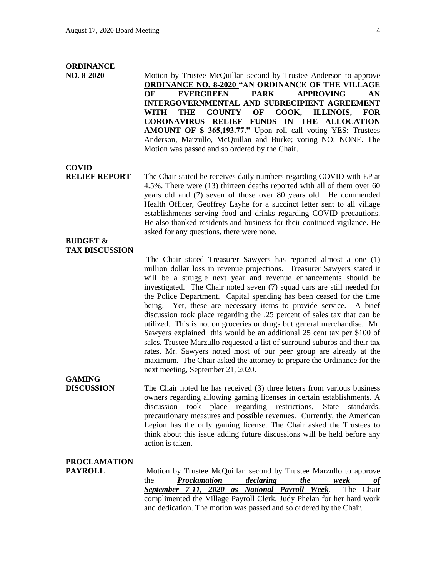#### **ORDINANCE**

**NO. 8-2020** Motion by Trustee McQuillan second by Trustee Anderson to approve **ORDINANCE NO. 8-2020 "AN ORDINANCE OF THE VILLAGE OF EVERGREEN PARK APPROVING AN INTERGOVERNMENTAL AND SUBRECIPIENT AGREEMENT WITH THE COUNTY OF COOK, ILLINOIS, FOR CORONAVIRUS RELIEF FUNDS IN THE ALLOCATION AMOUNT OF \$ 365,193.77."** Upon roll call voting YES: Trustees Anderson, Marzullo, McQuillan and Burke; voting NO: NONE. The Motion was passed and so ordered by the Chair.

**COVID**

**RELIEF REPORT** The Chair stated he receives daily numbers regarding COVID with EP at 4.5%. There were (13) thirteen deaths reported with all of them over 60 years old and (7) seven of those over 80 years old. He commended Health Officer, Geoffrey Layhe for a succinct letter sent to all village establishments serving food and drinks regarding COVID precautions. He also thanked residents and business for their continued vigilance. He asked for any questions, there were none.

#### **BUDGET & TAX DISCUSSION**

The Chair stated Treasurer Sawyers has reported almost a one (1) million dollar loss in revenue projections. Treasurer Sawyers stated it will be a struggle next year and revenue enhancements should be investigated. The Chair noted seven (7) squad cars are still needed for the Police Department. Capital spending has been ceased for the time being. Yet, these are necessary items to provide service. A brief discussion took place regarding the .25 percent of sales tax that can be utilized. This is not on groceries or drugs but general merchandise. Mr. Sawyers explained this would be an additional 25 cent tax per \$100 of sales. Trustee Marzullo requested a list of surround suburbs and their tax rates. Mr. Sawyers noted most of our peer group are already at the maximum. The Chair asked the attorney to prepare the Ordinance for the next meeting, September 21, 2020.

# **GAMING**

**DISCUSSION** The Chair noted he has received (3) three letters from various business owners regarding allowing gaming licenses in certain establishments. A discussion took place regarding restrictions, State standards, precautionary measures and possible revenues. Currently, the American Legion has the only gaming license. The Chair asked the Trustees to think about this issue adding future discussions will be held before any action is taken.

## **PROCLAMATION**

**PAYROLL** Motion by Trustee McQuillan second by Trustee Marzullo to approve the *Proclamation declaring the week of September 7-11, 2020 as National Payroll Week*. The Chair complimented the Village Payroll Clerk, Judy Phelan for her hard work and dedication. The motion was passed and so ordered by the Chair.